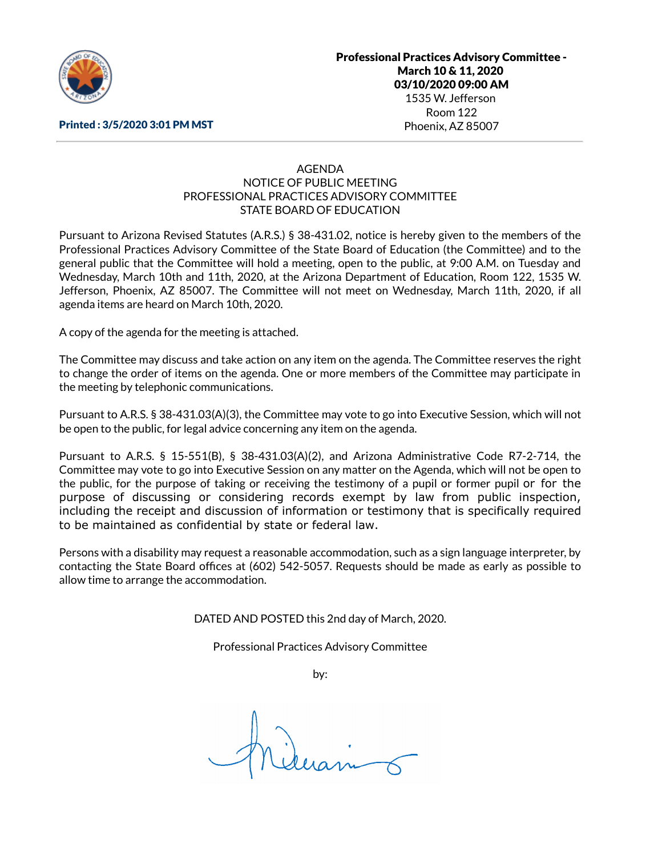

#### Printed : 3/5/2020 3:01 PM MST

### AGENDA NOTICE OF PUBLIC MEETING PROFESSIONAL PRACTICES ADVISORY COMMITTEE STATE BOARD OF EDUCATION

Pursuant to Arizona Revised Statutes (A.R.S.) § 38-431.02, notice is hereby given to the members of the Professional Practices Advisory Committee of the State Board of Education (the Committee) and to the general public that the Committee will hold a meeting, open to the public, at 9:00 A.M. on Tuesday and Wednesday, March 10th and 11th, 2020, at the Arizona Department of Education, Room 122, 1535 W. Jefferson, Phoenix, AZ 85007. The Committee will not meet on Wednesday, March 11th, 2020, if all agenda items are heard on March 10th, 2020.

A copy of the agenda for the meeting is attached.

The Committee may discuss and take action on any item on the agenda. The Committee reserves the right to change the order of items on the agenda. One or more members of the Committee may participate in the meeting by telephonic communications.

Pursuant to A.R.S. § 38-431.03(A)(3), the Committee may vote to go into Executive Session, which will not be open to the public, for legal advice concerning any item on the agenda.

Pursuant to A.R.S. § 15-551(B), § 38-431.03(A)(2), and Arizona Administrative Code R7-2-714, the Committee may vote to go into Executive Session on any matter on the Agenda, which will not be open to the public, for the purpose of taking or receiving the testimony of a pupil or former pupil or for the purpose of discussing or considering records exempt by law from public inspection, including the receipt and discussion of information or testimony that is specifically required to be maintained as confidential by state or federal law.

Persons with a disability may request a reasonable accommodation, such as a sign language interpreter, by contacting the State Board offices at (602) 542-5057. Requests should be made as early as possible to allow time to arrange the accommodation.

DATED AND POSTED this 2nd day of March, 2020.

Professional Practices Advisory Committee

by: